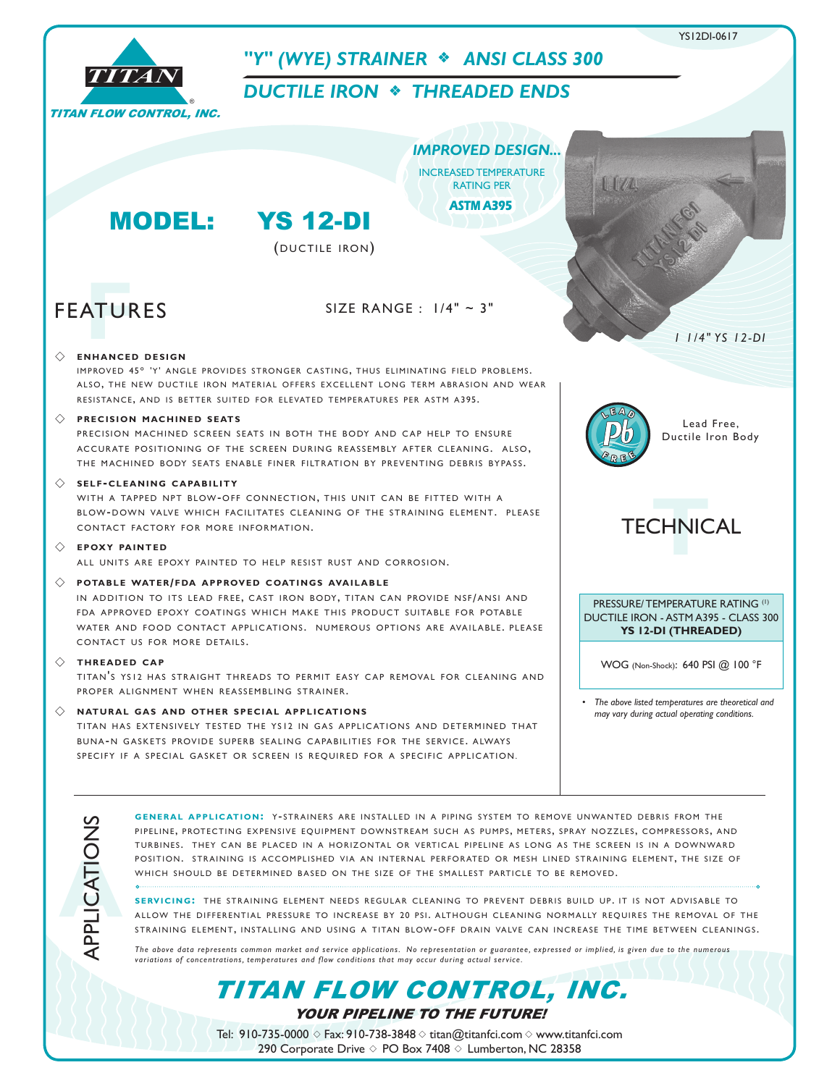

YOUR PIPELINE TO THE FUTURE! TITAN FLOW CONTROL, INC.

Tel: 910-735-0000  $\diamond$  Fax: 910-738-3848  $\diamond$  titan@titanfci.com  $\diamond$  www.titanfci.com 290 Corporate Drive  $\diamond$  PO Box 7408  $\diamond$  Lumberton, NC 28358